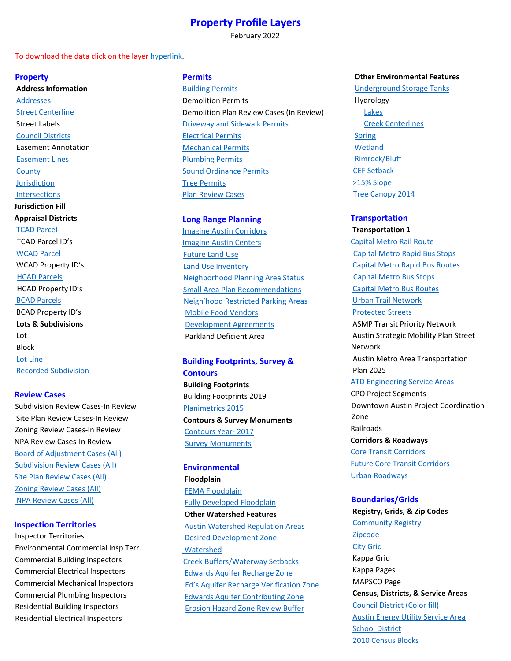# **Property Profile Layers**

February 2022

### To download the data click on the layer hyperlink.

### **Property**

**Address Information**  [Addresses](https://data.austintexas.gov/Locations-and-Maps/Addresses/mkjr-t5r2) [Street Centerline](https://data.austintexas.gov/Locations-and-Maps/Street-Centerline/m5w3-uea6)  Street Labels [Council Districts](https://data.austintexas.gov/Locations-and-Maps/Council-Districts-Fill/hdpc-ysmz)  Easement Annotation  [Easement Lines](https://data.austintexas.gov/Locations-and-Maps/City-Of-Austin-Easements-handled-by-the-Office-of-/kwfi-udrh) **[County](https://data.austintexas.gov/Locations-and-Maps/Counties/u6wx-p5c8)** [Jurisdiction](https://data.austintexas.gov/Locations-and-Maps/BOUNDARIES_jurisdictions/3pzb-6mbr)  [Intersections](https://austin.maps.arcgis.com/home/item.html?id=c42bdb73c3784a12b5388f672a124e9c) **Jurisdiction Fill Appraisal Districts** [TCAD Parcel](https://www.traviscad.org/) TCAD Parcel ID's [WCAD Parcel](https://www.wcad.org/) WCAD Property ID's [HCAD Parcels](https://www.hayscad.com/) HCAD Property ID's  [BCAD Parcels](https://www.bastropcad.org/) BCAD Property ID's  **Lots & Subdivisions**  Lot Block [Lot Line](https://data.austintexas.gov/Locations-and-Maps/Land-Base/f5rm-df6x)  [Recorded Subdivision](https://data.austintexas.gov/Locations-and-Maps/Subdivision/ppk6-q5mg)

## **Review Cases**

Subdivision Review Cases-In Review Site Plan Review Cases-In Review Zoning Review Cases-In Review NPA Review Cases-In Review [Board of Adjustment Cases \(All\)](https://data.austintexas.gov/City-Government/Board-of-Adjustment-Cases/ykxk-t5y9) [Subdivision Review Cases \(All\)](https://data.austintexas.gov/Locations-and-Maps/Subdivision-Review-Cases/c8ky-dga3) [Site Plan Review Cases \(All\)](https://data.austintexas.gov/Locations-and-Maps/PLANNINGCADASTRE_site_plan_case/mz62-7gp7) [Zoning Review Cases \(All\)](https://data.austintexas.gov/Locations-and-Maps/Zoning-Review-Cases/b2kk-8kt2)  [NPA Review Cases \(All\)](https://data.austintexas.gov/Locations-and-Maps/Zoning-Review-Cases/b2kk-8kt2)

### **Inspection Territories**

Inspector Territories Environmental Commercial Insp Terr. Commercial Building Inspectors Commercial Electrical Inspectors Commercial Mechanical Inspectors Commercial Plumbing Inspectors Residential Building Inspectors Residential Electrical Inspectors

## **Permits**

[Building Permits](https://data.austintexas.gov/Building-and-Development/Issued-Construction-Permits/3syk-w9eu) Demolition Permits Demolition Plan Review Cases (In Review) [Driveway and Sidewalk Permits](https://data.austintexas.gov/Building-and-Development/Issued-Construction-Permits/3syk-w9eu) [Electrical Permits](https://data.austintexas.gov/Building-and-Development/Issued-Construction-Permits/3syk-w9eu) [Mechanical Permits](https://data.austintexas.gov/Building-and-Development/Issued-Construction-Permits/3syk-w9eu) [Plumbing Permits](https://data.austintexas.gov/Building-and-Development/Issued-Construction-Permits/3syk-w9eu) [Sound Ordinance Permits](https://data.austintexas.gov/Building-and-Development/Issued-Construction-Permits/3syk-w9eu) [Tree Permits](https://data.austintexas.gov/Building-and-Development/Issued-Construction-Permits/3syk-w9eu) [Plan Review Cases](https://data.austintexas.gov/Locations-and-Maps/Plan-Review-Cases/n8ck-xkda)

# **Long Range Planning**

[Imagine Austin Corridors](https://data.austintexas.gov/Locations-and-Maps/Imagine-Austin-Corridors/sb68-tfzc) [Imagine Austin Centers](https://data.austintexas.gov/Locations-and-Maps/Imagine-Austin-Centers/k4sq-5xm6) [Future Land Use](https://data.austintexas.gov/Locations-and-Maps/Future-Land-Use/4etb-jk4d) [Land Use Inventory](https://data.austintexas.gov/Locations-and-Maps/Land-Use-Inventory-Detailed/fj9m-h5qy) [Neighborhood Planning Area Status](https://data.austintexas.gov/Locations-and-Maps/Neighborhood-Plan-Status/b2z2-zp7a) [Small Area Plan Recommendations](https://data.austintexas.gov/Locations-and-Maps/Small-Area-Plan-Recommendations/dn4m-2fjj) [Neigh'hood Restricted Parking Areas](https://austin.maps.arcgis.com/home/item.html?id=f05b7ea53c2041179c0c32b331b310cc) [Mobile Food Vendors](https://austin.maps.arcgis.com/home/item.html?id=664ee6ec5d1a47bdb920521b32033c12)  [Development Agreements](https://austin.maps.arcgis.com/home/item.html?id=55dd62a446034efe9eab4c950a1c20a0) Parkland Deficient Area

# **Building Footprints, Survey & Contours**

**Building Footprints** Building Footprints 2019 [Planimetrics 2015](https://data.austintexas.gov/City-Government/Planimetrics-2015/j89x-dim4) **Contours & Survey Monuments**  [Contours Year- 2017](https://data.austintexas.gov/Environment/2017-Contours/rrn9-vws6) [Survey Monuments](https://data.austintexas.gov/Locations-and-Maps/Survey-Monument/77pj-hs7w)

**Environmental Floodplain** [FEMA Floodplain](https://data.austintexas.gov/Public-Safety/Greater-Austin-FEMA-Floodplain/neg3-2fup) [Fully Developed Floodplain](https://data.austintexas.gov/Locations-and-Maps/Austin-Fully-Developed-Floodplain/2xn4-j3u2)  **Other Watershed Features**  [Austin Watershed Regulation Areas](https://data.austintexas.gov/Locations-and-Maps/Austin-Watershed-Regulation-Areas/2xkn-3rmn)  [Desired Development Zone](https://austin.maps.arcgis.com/home/item.html?id=88761b6d420b4ff4901c26b4898cb373)   [Watershed](https://data.austintexas.gov/Environment/Watersheds/ec78-i9z5) [Creek Buffers/Waterway Setbacks](https://data.austintexas.gov/Locations-and-Maps/Waterway-Setbacks/eg2m-3frp) [Edwards Aquifer Recharge Zone](https://data.austintexas.gov/Locations-and-Maps/Edwards-Aquifer-Recharge-Zone/ahuv-whai) [Ed's Aquifer Recharge Verification Zone](https://austin.maps.arcgis.com/home/item.html?id=bc6951ed6e1a4f06aee7aa36d642161b) [Edwards Aquifer Contributing Zone](https://data.austintexas.gov/Locations-and-Maps/GEOSCIENTIFICINFORMATION-ed_aq_contribute_zone/hnk2-9fsb) [Erosion Hazard Zone Review Buffer](https://austin.maps.arcgis.com/home/item.html?id=6e01471358ec4c33a864d733e01e0319)

### **Other Environmental Features**

 [Underground Storage Tanks](https://data.austintexas.gov/Locations-and-Maps/Underground-Storage-Tanks/h73i-geqi) Hydrology [Lakes](https://data.austintexas.gov/Locations-and-Maps/Lakes/p2uq-mkbt) [Creek Centerlines](https://data.austintexas.gov/Locations-and-Maps/Creeks-by-Type/ak95-26gs) [Spring](https://data.austintexas.gov/Locations-and-Maps/Springs-and-Seeps/2jmf-2fa8) [Wetland](https://data.austintexas.gov/Locations-and-Maps/Wetlands/68xn-sw5a) [Rimrock/Bluff](https://data.austintexas.gov/Locations-and-Maps/Rock-Outcrops/nvg2-p7k4) [CEF Setback](https://data.austintexas.gov/Locations-and-Maps/Biologic-Resource-Buffers-CEF-Setbacks-/n7cy-835m)  [>15% Slope](https://services.arcgis.com/0L95CJ0VTaxqcmED/arcgis/rest/services/WPD_SiteReviewLayers/FeatureServer)  [Tree Canopy 2014](https://austin.maps.arcgis.com/home/item.html?id=b22a976dd62249e59bc614a3fe5d9bb1)

## **Transportation**

**Transportation 1**  [Capital Metro Rail Route](https://capmetro.org/)   [Capital Metro Rapid Bus Stops](https://capmetro.org/)  [Capital Metro Rapid Bus Routes](https://capmetro.org/)   [Capital Metro Bus Stops](https://capmetro.org/) [Capital Metro Bus Routes](https://capmetro.org/) [Urban Trail Network](https://data.austintexas.gov/Locations-and-Maps/Urban-Trails/bxbe-ndaw) [Protected Streets](https://austin.maps.arcgis.com/home/item.html?id=aaf20eb8d1d54735a6fe2ae55b2e5ff1) ASMP Transit Priority Network Austin Strategic Mobility Plan Street Network Austin Metro Area Transportation Plan 2025 [ATD Engineering Service Areas](https://austin.maps.arcgis.com/home/item.html?id=28c369f7ab534c64a26a646fca3fd6ec) CPO Project Segments Downtown Austin Project Coordination Zone Railroads **Corridors & Roadways** [Core Transit Corridors](https://data.austintexas.gov/Locations-and-Maps/Core-Transit-Corridors/g4jr-h8r2) [Future Core Transit Corridors](https://austin.maps.arcgis.com/home/item.html?id=fb98ab3330614603b6b05ac2e30940da) [Urban Roadways](https://data.austintexas.gov/Locations-and-Maps/Urban-Roadways/73nu-3qnt)

# **Boundaries/Grids**

**Registry, Grids, & Zip Codes**  [Community Registry](https://data.austintexas.gov/Locations-and-Maps/Community-Registry/kxhq-vqsq)  [Zipcode](https://austin.maps.arcgis.com/home/item.html?id=32ca966c10a24acaa75966701b7049ba)  [City Grid](https://data.austintexas.gov/Locations-and-Maps/City-Grid/ty45-9ayu) Kappa Grid Kappa Pages MAPSCO Page  **Census, Districts, & Service Areas**   [Council District \(Color fill\)](https://data.austintexas.gov/Locations-and-Maps/Council-Districts-Fill/hdpc-ysmz) [Austin Energy Utility Service Area](https://data.austintexas.gov/Locations-and-Maps/Austin-Energy-Electric-Utility-Service-Area/i2t2-i3uy) **[School District](https://austin.maps.arcgis.com/home/item.html?id=524ca4ce835b49a3831fc8ec2a6bcbf9)** [2010 Census Blocks](https://data.austintexas.gov/Locations-and-Maps/Census-Blocks-2010-MSA/kf4e-aa3h)